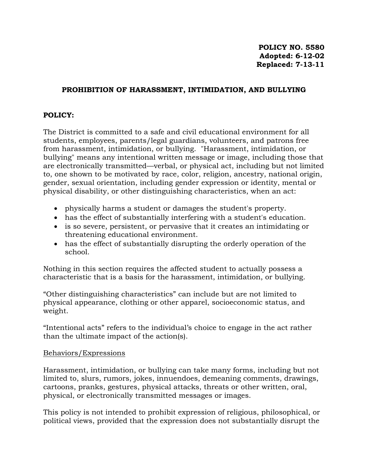### **PROHIBITION OF HARASSMENT, INTIMIDATION, AND BULLYING**

### **POLICY:**

The District is committed to a safe and civil educational environment for all students, employees, parents/legal guardians, volunteers, and patrons free from harassment, intimidation, or bullying. "Harassment, intimidation, or bullying" means any intentional written message or image, including those that are electronically transmitted—verbal, or physical act, including but not limited to, one shown to be motivated by race, color, religion, ancestry, national origin, gender, sexual orientation, including gender expression or identity, mental or physical disability, or other distinguishing characteristics, when an act:

- physically harms a student or damages the student's property.
- has the effect of substantially interfering with a student's education.
- is so severe, persistent, or pervasive that it creates an intimidating or threatening educational environment.
- has the effect of substantially disrupting the orderly operation of the school.

Nothing in this section requires the affected student to actually possess a characteristic that is a basis for the harassment, intimidation, or bullying.

"Other distinguishing characteristics" can include but are not limited to physical appearance, clothing or other apparel, socioeconomic status, and weight.

"Intentional acts" refers to the individual's choice to engage in the act rather than the ultimate impact of the action(s).

#### Behaviors/Expressions

Harassment, intimidation, or bullying can take many forms, including but not limited to, slurs, rumors, jokes, innuendoes, demeaning comments, drawings, cartoons, pranks, gestures, physical attacks, threats or other written, oral, physical, or electronically transmitted messages or images.

This policy is not intended to prohibit expression of religious, philosophical, or political views, provided that the expression does not substantially disrupt the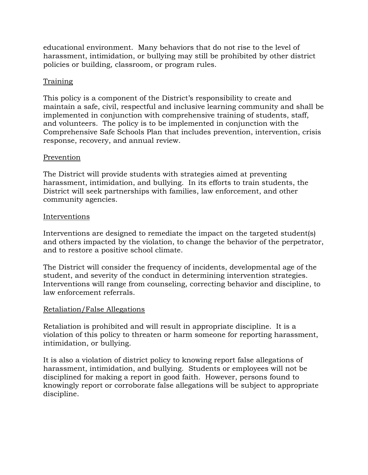educational environment. Many behaviors that do not rise to the level of harassment, intimidation, or bullying may still be prohibited by other district policies or building, classroom, or program rules.

## Training

This policy is a component of the District's responsibility to create and maintain a safe, civil, respectful and inclusive learning community and shall be implemented in conjunction with comprehensive training of students, staff, and volunteers. The policy is to be implemented in conjunction with the Comprehensive Safe Schools Plan that includes prevention, intervention, crisis response, recovery, and annual review.

#### Prevention

The District will provide students with strategies aimed at preventing harassment, intimidation, and bullying. In its efforts to train students, the District will seek partnerships with families, law enforcement, and other community agencies.

#### **Interventions**

Interventions are designed to remediate the impact on the targeted student(s) and others impacted by the violation, to change the behavior of the perpetrator, and to restore a positive school climate.

The District will consider the frequency of incidents, developmental age of the student, and severity of the conduct in determining intervention strategies. Interventions will range from counseling, correcting behavior and discipline, to law enforcement referrals.

#### Retaliation/False Allegations

Retaliation is prohibited and will result in appropriate discipline. It is a violation of this policy to threaten or harm someone for reporting harassment, intimidation, or bullying.

It is also a violation of district policy to knowing report false allegations of harassment, intimidation, and bullying. Students or employees will not be disciplined for making a report in good faith. However, persons found to knowingly report or corroborate false allegations will be subject to appropriate discipline.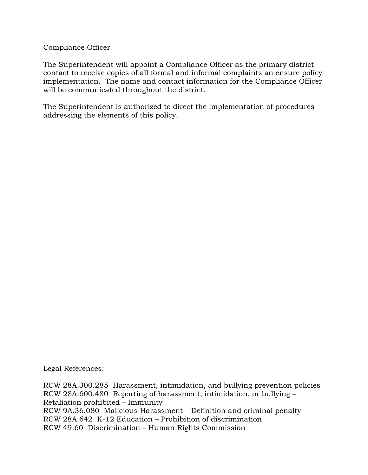### Compliance Officer

The Superintendent will appoint a Compliance Officer as the primary district contact to receive copies of all formal and informal complaints an ensure policy implementation. The name and contact information for the Compliance Officer will be communicated throughout the district.

The Superintendent is authorized to direct the implementation of procedures addressing the elements of this policy.

Legal References:

RCW 28A.300.285 Harassment, intimidation, and bullying prevention policies RCW 28A.600.480 Reporting of harassment, intimidation, or bullying – Retaliation prohibited – Immunity RCW 9A.36.080 Malicious Harassment – Definition and criminal penalty RCW 28A.642 K-12 Education – Prohibition of discrimination RCW 49.60 Discrimination – Human Rights Commission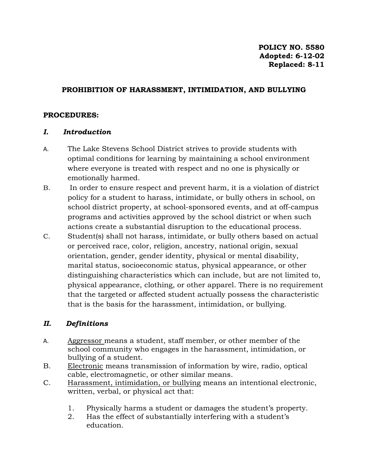#### **PROHIBITION OF HARASSMENT, INTIMIDATION, AND BULLYING**

### **PROCEDURES:**

### *I. Introduction*

- A. The Lake Stevens School District strives to provide students with optimal conditions for learning by maintaining a school environment where everyone is treated with respect and no one is physically or emotionally harmed.
- B. In order to ensure respect and prevent harm, it is a violation of district policy for a student to harass, intimidate, or bully others in school, on school district property, at school-sponsored events, and at off-campus programs and activities approved by the school district or when such actions create a substantial disruption to the educational process.
- C. Student(s) shall not harass, intimidate, or bully others based on actual or perceived race, color, religion, ancestry, national origin, sexual orientation, gender, gender identity, physical or mental disability, marital status, socioeconomic status, physical appearance, or other distinguishing characteristics which can include, but are not limited to, physical appearance, clothing, or other apparel. There is no requirement that the targeted or affected student actually possess the characteristic that is the basis for the harassment, intimidation, or bullying.

## *II. Definitions*

- A. Aggressor means a student, staff member, or other member of the school community who engages in the harassment, intimidation, or bullying of a student.
- B. Electronic means transmission of information by wire, radio, optical cable, electromagnetic, or other similar means.
- C. Harassment, intimidation, or bullying means an intentional electronic, written, verbal, or physical act that:
	- 1. Physically harms a student or damages the student's property.
	- 2. Has the effect of substantially interfering with a student's education.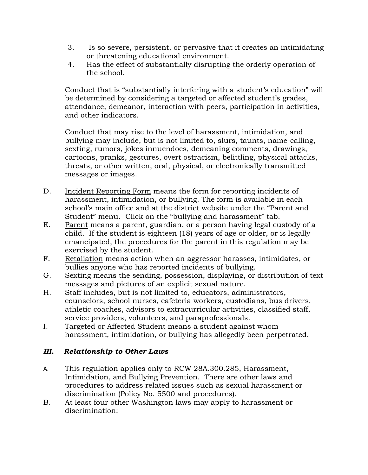- 3. Is so severe, persistent, or pervasive that it creates an intimidating or threatening educational environment.
- 4. Has the effect of substantially disrupting the orderly operation of the school.

Conduct that is "substantially interfering with a student's education" will be determined by considering a targeted or affected student's grades, attendance, demeanor, interaction with peers, participation in activities, and other indicators.

Conduct that may rise to the level of harassment, intimidation, and bullying may include, but is not limited to, slurs, taunts, name-calling, sexting, rumors, jokes innuendoes, demeaning comments, drawings, cartoons, pranks, gestures, overt ostracism, belittling, physical attacks, threats, or other written, oral, physical, or electronically transmitted messages or images.

- D. Incident Reporting Form means the form for reporting incidents of harassment, intimidation, or bullying. The form is available in each school's main office and at the district website under the "Parent and Student" menu. Click on the "bullying and harassment" tab.
- E. Parent means a parent, guardian, or a person having legal custody of a child. If the student is eighteen (18) years of age or older, or is legally emancipated, the procedures for the parent in this regulation may be exercised by the student.
- F. Retaliation means action when an aggressor harasses, intimidates, or bullies anyone who has reported incidents of bullying.
- G. Sexting means the sending, possession, displaying, or distribution of text messages and pictures of an explicit sexual nature.
- H. Staff includes, but is not limited to, educators, administrators, counselors, school nurses, cafeteria workers, custodians, bus drivers, athletic coaches, advisors to extracurricular activities, classified staff, service providers, volunteers, and paraprofessionals.
- I. Targeted or Affected Student means a student against whom harassment, intimidation, or bullying has allegedly been perpetrated.

# *III. Relationship to Other Laws*

- A. This regulation applies only to RCW 28A.300.285, Harassment, Intimidation, and Bullying Prevention. There are other laws and procedures to address related issues such as sexual harassment or discrimination (Policy No. 5500 and procedures).
- B. At least four other Washington laws may apply to harassment or discrimination: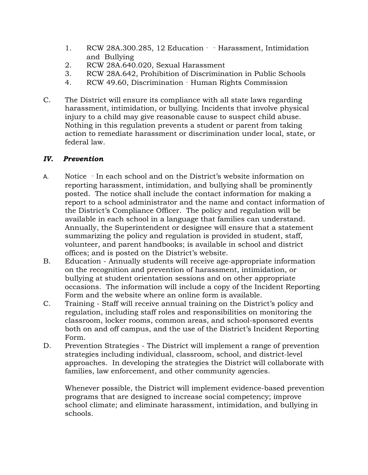- 1. RCW 28A.300.285, 12 Education - Harassment, Intimidation and Bullying
- 2. RCW 28A.640.020, Sexual Harassment
- 3. RCW 28A.642, Prohibition of Discrimination in Public Schools
- 4. RCW 49.60, Discrimination Human Rights Commission
- C. The District will ensure its compliance with all state laws regarding harassment, intimidation, or bullying. Incidents that involve physical injury to a child may give reasonable cause to suspect child abuse. Nothing in this regulation prevents a student or parent from taking action to remediate harassment or discrimination under local, state, or federal law.

### *IV. Prevention*

- A. Notice In each school and on the District's website information on reporting harassment, intimidation, and bullying shall be prominently posted. The notice shall include the contact information for making a report to a school administrator and the name and contact information of the District's Compliance Officer. The policy and regulation will be available in each school in a language that families can understand. Annually, the Superintendent or designee will ensure that a statement summarizing the policy and regulation is provided in student, staff, volunteer, and parent handbooks; is available in school and district offices; and is posted on the District's website.
- B. Education Annually students will receive age-appropriate information on the recognition and prevention of harassment, intimidation, or bullying at student orientation sessions and on other appropriate occasions. The information will include a copy of the Incident Reporting Form and the website where an online form is available.
- C. Training Staff will receive annual training on the District's policy and regulation, including staff roles and responsibilities on monitoring the classroom, locker rooms, common areas, and school-sponsored events both on and off campus, and the use of the District's Incident Reporting Form.
- D. Prevention Strategies The District will implement a range of prevention strategies including individual, classroom, school, and district-level approaches. In developing the strategies the District will collaborate with families, law enforcement, and other community agencies.

Whenever possible, the District will implement evidence-based prevention programs that are designed to increase social competency; improve school climate; and eliminate harassment, intimidation, and bullying in schools.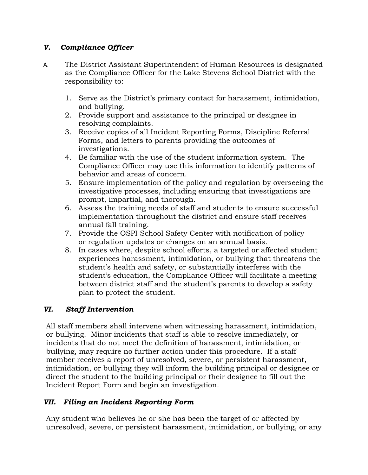# *V. Compliance Officer*

- A. The District Assistant Superintendent of Human Resources is designated as the Compliance Officer for the Lake Stevens School District with the responsibility to:
	- 1. Serve as the District's primary contact for harassment, intimidation, and bullying.
	- 2. Provide support and assistance to the principal or designee in resolving complaints.
	- 3. Receive copies of all Incident Reporting Forms, Discipline Referral Forms, and letters to parents providing the outcomes of investigations.
	- 4. Be familiar with the use of the student information system. The Compliance Officer may use this information to identify patterns of behavior and areas of concern.
	- 5. Ensure implementation of the policy and regulation by overseeing the investigative processes, including ensuring that investigations are prompt, impartial, and thorough.
	- 6. Assess the training needs of staff and students to ensure successful implementation throughout the district and ensure staff receives annual fall training.
	- 7. Provide the OSPI School Safety Center with notification of policy or regulation updates or changes on an annual basis.
	- 8. In cases where, despite school efforts, a targeted or affected student experiences harassment, intimidation, or bullying that threatens the student's health and safety, or substantially interferes with the student's education, the Compliance Officer will facilitate a meeting between district staff and the student's parents to develop a safety plan to protect the student.

# *VI. Staff Intervention*

All staff members shall intervene when witnessing harassment, intimidation, or bullying. Minor incidents that staff is able to resolve immediately, or incidents that do not meet the definition of harassment, intimidation, or bullying, may require no further action under this procedure. If a staff member receives a report of unresolved, severe, or persistent harassment, intimidation, or bullying they will inform the building principal or designee or direct the student to the building principal or their designee to fill out the Incident Report Form and begin an investigation.

# *VII. Filing an Incident Reporting Form*

Any student who believes he or she has been the target of or affected by unresolved, severe, or persistent harassment, intimidation, or bullying, or any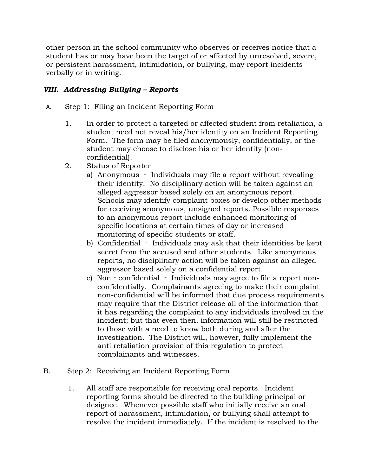other person in the school community who observes or receives notice that a student has or may have been the target of or affected by unresolved, severe, or persistent harassment, intimidation, or bullying, may report incidents verbally or in writing.

## *VIII. Addressing Bullying – Reports*

- A. Step 1: Filing an Incident Reporting Form
	- 1. In order to protect a targeted or affected student from retaliation, a student need not reveal his/her identity on an Incident Reporting Form. The form may be filed anonymously, confidentially, or the student may choose to disclose his or her identity (nonconfidential).
	- 2. Status of Reporter
		- a) Anonymous Individuals may file a report without revealing their identity. No disciplinary action will be taken against an alleged aggressor based solely on an anonymous report. Schools may identify complaint boxes or develop other methods for receiving anonymous, unsigned reports. Possible responses to an anonymous report include enhanced monitoring of specific locations at certain times of day or increased monitoring of specific students or staff.
		- b) Confidential ‐ Individuals may ask that their identities be kept secret from the accused and other students. Like anonymous reports, no disciplinary action will be taken against an alleged aggressor based solely on a confidential report.
		- c) Non confidential Individuals may agree to file a report nonconfidentially. Complainants agreeing to make their complaint non-confidential will be informed that due process requirements may require that the District release all of the information that it has regarding the complaint to any individuals involved in the incident; but that even then, information will still be restricted to those with a need to know both during and after the investigation. The District will, however, fully implement the anti retaliation provision of this regulation to protect complainants and witnesses.
- B. Step 2: Receiving an Incident Reporting Form
	- 1. All staff are responsible for receiving oral reports. Incident reporting forms should be directed to the building principal or designee. Whenever possible staff who initially receive an oral report of harassment, intimidation, or bullying shall attempt to resolve the incident immediately. If the incident is resolved to the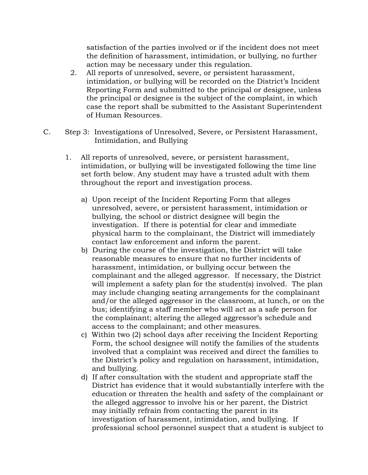satisfaction of the parties involved or if the incident does not meet the definition of harassment, intimidation, or bullying, no further action may be necessary under this regulation.

- 2. All reports of unresolved, severe, or persistent harassment, intimidation, or bullying will be recorded on the District's Incident Reporting Form and submitted to the principal or designee, unless the principal or designee is the subject of the complaint, in which case the report shall be submitted to the Assistant Superintendent of Human Resources.
- C. Step 3: Investigations of Unresolved, Severe, or Persistent Harassment, Intimidation, and Bullying
	- 1. All reports of unresolved, severe, or persistent harassment, intimidation, or bullying will be investigated following the time line set forth below. Any student may have a trusted adult with them throughout the report and investigation process.
		- a) Upon receipt of the Incident Reporting Form that alleges unresolved, severe, or persistent harassment, intimidation or bullying, the school or district designee will begin the investigation. If there is potential for clear and immediate physical harm to the complainant, the District will immediately contact law enforcement and inform the parent.
		- b) During the course of the investigation, the District will take reasonable measures to ensure that no further incidents of harassment, intimidation, or bullying occur between the complainant and the alleged aggressor. If necessary, the District will implement a safety plan for the student(s) involved. The plan may include changing seating arrangements for the complainant and/or the alleged aggressor in the classroom, at lunch, or on the bus; identifying a staff member who will act as a safe person for the complainant; altering the alleged aggressor's schedule and access to the complainant; and other measures.
		- c) Within two (2) school days after receiving the Incident Reporting Form, the school designee will notify the families of the students involved that a complaint was received and direct the families to the District's policy and regulation on harassment, intimidation, and bullying.
		- d) If after consultation with the student and appropriate staff the District has evidence that it would substantially interfere with the education or threaten the health and safety of the complainant or the alleged aggressor to involve his or her parent, the District may initially refrain from contacting the parent in its investigation of harassment, intimidation, and bullying. If professional school personnel suspect that a student is subject to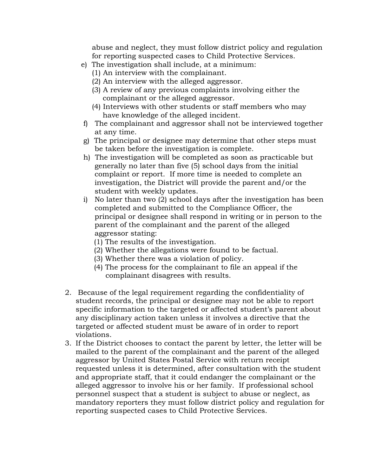abuse and neglect, they must follow district policy and regulation for reporting suspected cases to Child Protective Services.

- e) The investigation shall include, at a minimum:
	- (1) An interview with the complainant.
	- (2) An interview with the alleged aggressor.
	- (3) A review of any previous complaints involving either the complainant or the alleged aggressor.
	- (4) Interviews with other students or staff members who may have knowledge of the alleged incident.
- f) The complainant and aggressor shall not be interviewed together at any time.
- g) The principal or designee may determine that other steps must be taken before the investigation is complete.
- h) The investigation will be completed as soon as practicable but generally no later than five (5) school days from the initial complaint or report. If more time is needed to complete an investigation, the District will provide the parent and/or the student with weekly updates.
- i) No later than two (2) school days after the investigation has been completed and submitted to the Compliance Officer, the principal or designee shall respond in writing or in person to the parent of the complainant and the parent of the alleged aggressor stating:
	- (1) The results of the investigation.
	- (2) Whether the allegations were found to be factual.
	- (3) Whether there was a violation of policy.
	- (4) The process for the complainant to file an appeal if the complainant disagrees with results.
- 2. Because of the legal requirement regarding the confidentiality of student records, the principal or designee may not be able to report specific information to the targeted or affected student's parent about any disciplinary action taken unless it involves a directive that the targeted or affected student must be aware of in order to report violations.
- 3. If the District chooses to contact the parent by letter, the letter will be mailed to the parent of the complainant and the parent of the alleged aggressor by United States Postal Service with return receipt requested unless it is determined, after consultation with the student and appropriate staff, that it could endanger the complainant or the alleged aggressor to involve his or her family. If professional school personnel suspect that a student is subject to abuse or neglect, as mandatory reporters they must follow district policy and regulation for reporting suspected cases to Child Protective Services.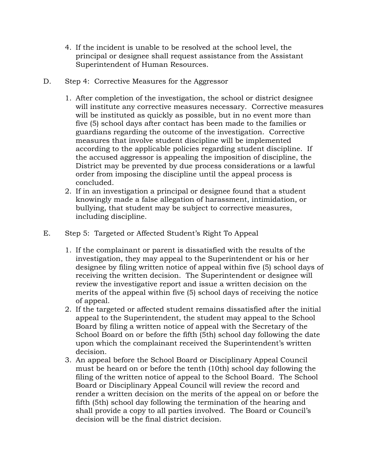- 4. If the incident is unable to be resolved at the school level, the principal or designee shall request assistance from the Assistant Superintendent of Human Resources.
- D. Step 4: Corrective Measures for the Aggressor
	- 1. After completion of the investigation, the school or district designee will institute any corrective measures necessary. Corrective measures will be instituted as quickly as possible, but in no event more than five (5) school days after contact has been made to the families or guardians regarding the outcome of the investigation. Corrective measures that involve student discipline will be implemented according to the applicable policies regarding student discipline. If the accused aggressor is appealing the imposition of discipline, the District may be prevented by due process considerations or a lawful order from imposing the discipline until the appeal process is concluded.
	- 2. If in an investigation a principal or designee found that a student knowingly made a false allegation of harassment, intimidation, or bullying, that student may be subject to corrective measures, including discipline.
- E. Step 5: Targeted or Affected Student's Right To Appeal
	- 1. If the complainant or parent is dissatisfied with the results of the investigation, they may appeal to the Superintendent or his or her designee by filing written notice of appeal within five (5) school days of receiving the written decision. The Superintendent or designee will review the investigative report and issue a written decision on the merits of the appeal within five (5) school days of receiving the notice of appeal.
	- 2. If the targeted or affected student remains dissatisfied after the initial appeal to the Superintendent, the student may appeal to the School Board by filing a written notice of appeal with the Secretary of the School Board on or before the fifth (5th) school day following the date upon which the complainant received the Superintendent's written decision.
	- 3. An appeal before the School Board or Disciplinary Appeal Council must be heard on or before the tenth (10th) school day following the filing of the written notice of appeal to the School Board. The School Board or Disciplinary Appeal Council will review the record and render a written decision on the merits of the appeal on or before the fifth (5th) school day following the termination of the hearing and shall provide a copy to all parties involved. The Board or Council's decision will be the final district decision.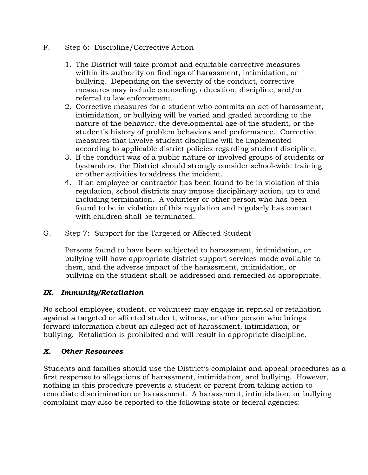- F. Step 6: Discipline/Corrective Action
	- 1. The District will take prompt and equitable corrective measures within its authority on findings of harassment, intimidation, or bullying. Depending on the severity of the conduct, corrective measures may include counseling, education, discipline, and/or referral to law enforcement.
	- 2. Corrective measures for a student who commits an act of harassment, intimidation, or bullying will be varied and graded according to the nature of the behavior, the developmental age of the student, or the student's history of problem behaviors and performance. Corrective measures that involve student discipline will be implemented according to applicable district policies regarding student discipline.
	- 3. If the conduct was of a public nature or involved groups of students or bystanders, the District should strongly consider school-wide training or other activities to address the incident.
	- 4. If an employee or contractor has been found to be in violation of this regulation, school districts may impose disciplinary action, up to and including termination. A volunteer or other person who has been found to be in violation of this regulation and regularly has contact with children shall be terminated.
- G. Step 7: Support for the Targeted or Affected Student

Persons found to have been subjected to harassment, intimidation, or bullying will have appropriate district support services made available to them, and the adverse impact of the harassment, intimidation, or bullying on the student shall be addressed and remedied as appropriate.

## *IX. Immunity/Retaliation*

No school employee, student, or volunteer may engage in reprisal or retaliation against a targeted or affected student, witness, or other person who brings forward information about an alleged act of harassment, intimidation, or bullying. Retaliation is prohibited and will result in appropriate discipline.

## *X. Other Resources*

Students and families should use the District's complaint and appeal procedures as a first response to allegations of harassment, intimidation, and bullying. However, nothing in this procedure prevents a student or parent from taking action to remediate discrimination or harassment. A harassment, intimidation, or bullying complaint may also be reported to the following state or federal agencies: